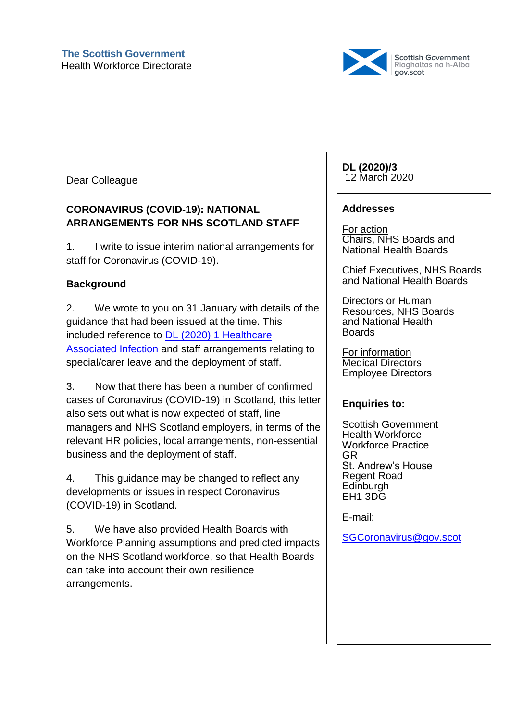

Dear Colleague

## **CORONAVIRUS (COVID-19): NATIONAL ARRANGEMENTS FOR NHS SCOTLAND STAFF**

1. I write to issue interim national arrangements for staff for Coronavirus (COVID-19).

# **Background**

2. We wrote to you on 31 January with details of the guidance that had been issued at the time. This included reference to [DL \(2020\) 1 Healthcare](https://www.sehd.scot.nhs.uk/dl/DL(2020)01.pdf)  [Associated Infection](https://www.sehd.scot.nhs.uk/dl/DL(2020)01.pdf) and staff arrangements relating to special/carer leave and the deployment of staff.

3. Now that there has been a number of confirmed cases of Coronavirus (COVID-19) in Scotland, this letter also sets out what is now expected of staff, line managers and NHS Scotland employers, in terms of the relevant HR policies, local arrangements, non-essential business and the deployment of staff.

4. This guidance may be changed to reflect any developments or issues in respect Coronavirus (COVID-19) in Scotland.

5. We have also provided Health Boards with Workforce Planning assumptions and predicted impacts on the NHS Scotland workforce, so that Health Boards can take into account their own resilience arrangements.

**DL (2020)/3** 12 March 2020

### **Addresses**

For action Chairs, NHS Boards and National Health Boards

Chief Executives, NHS Boards and National Health Boards

Directors or Human Resources, NHS Boards and National Health Boards

For information Medical Directors Employee Directors

## **Enquiries to:**

Scottish Government Health Workforce Workforce Practice GR St. Andrew's House Regent Road **Edinburgh** EH1 3DG

E-mail:

[SGCoronavirus@gov.scot](mailto:SGCoronavirus@gov.scot)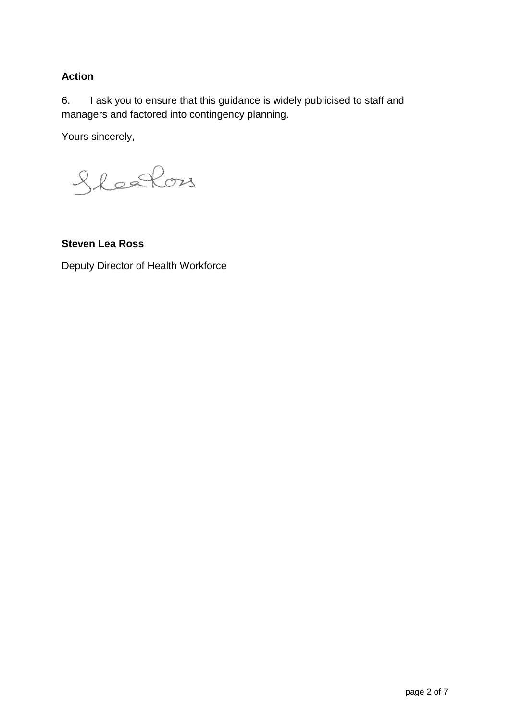## **Action**

6. I ask you to ensure that this guidance is widely publicised to staff and managers and factored into contingency planning.

Yours sincerely,

Sleefon

**Steven Lea Ross**

Deputy Director of Health Workforce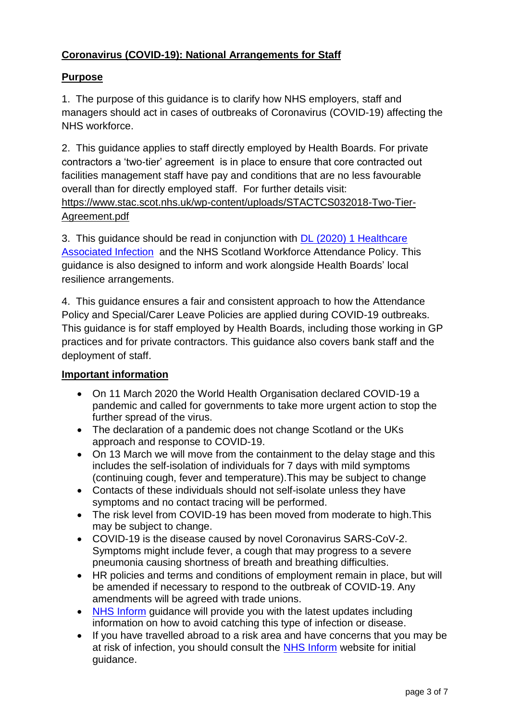## **Coronavirus (COVID-19): National Arrangements for Staff**

### **Purpose**

1. The purpose of this guidance is to clarify how NHS employers, staff and managers should act in cases of outbreaks of Coronavirus (COVID-19) affecting the NHS workforce.

2. This guidance applies to staff directly employed by Health Boards. For private contractors a 'two-tier' agreement is in place to ensure that core contracted out facilities management staff have pay and conditions that are no less favourable overall than for directly employed staff. For further details visit: [https://www.stac.scot.nhs.uk/wp-content/uploads/STACTCS032018-Two-Tier-](https://www.stac.scot.nhs.uk/wp-content/uploads/STACTCS032018-Two-Tier-Agreement.pdf)[Agreement.pdf](https://www.stac.scot.nhs.uk/wp-content/uploads/STACTCS032018-Two-Tier-Agreement.pdf)

3. This guidance should be read in conjunction with [DL \(2020\) 1 Healthcare](https://www.sehd.scot.nhs.uk/dl/DL(2020)01.pdf)  [Associated Infection](https://www.sehd.scot.nhs.uk/dl/DL(2020)01.pdf) and the NHS Scotland Workforce Attendance Policy. This guidance is also designed to inform and work alongside Health Boards' local resilience arrangements.

4. This guidance ensures a fair and consistent approach to how the Attendance Policy and Special/Carer Leave Policies are applied during COVID-19 outbreaks. This guidance is for staff employed by Health Boards, including those working in GP practices and for private contractors. This guidance also covers bank staff and the deployment of staff.

#### **Important information**

- On 11 March 2020 the World Health Organisation declared COVID-19 a pandemic and called for governments to take more urgent action to stop the further spread of the virus.
- The declaration of a pandemic does not change Scotland or the UKs approach and response to COVID-19.
- On 13 March we will move from the containment to the delay stage and this includes the self-isolation of individuals for 7 days with mild symptoms (continuing cough, fever and temperature).This may be subject to change
- Contacts of these individuals should not self-isolate unless they have symptoms and no contact tracing will be performed.
- The risk level from COVID-19 has been moved from moderate to high. This may be subject to change.
- COVID-19 is the disease caused by novel Coronavirus SARS-CoV-2. Symptoms might include fever, a cough that may progress to a severe pneumonia causing shortness of breath and breathing difficulties.
- HR policies and terms and conditions of employment remain in place, but will be amended if necessary to respond to the outbreak of COVID-19. Any amendments will be agreed with trade unions.
- NHS [Inform](https://www.nhsinform.scot/illnesses-and-conditions/infections-and-poisoning/coronavirus-covid-19) guidance will provide you with the latest updates including information on how to avoid catching this type of infection or disease.
- If you have travelled abroad to a risk area and have concerns that you may be at risk of infection, you should consult the NHS [Inform](https://www.nhsinform.scot/wuhan-novel-coronavirus) website for initial guidance.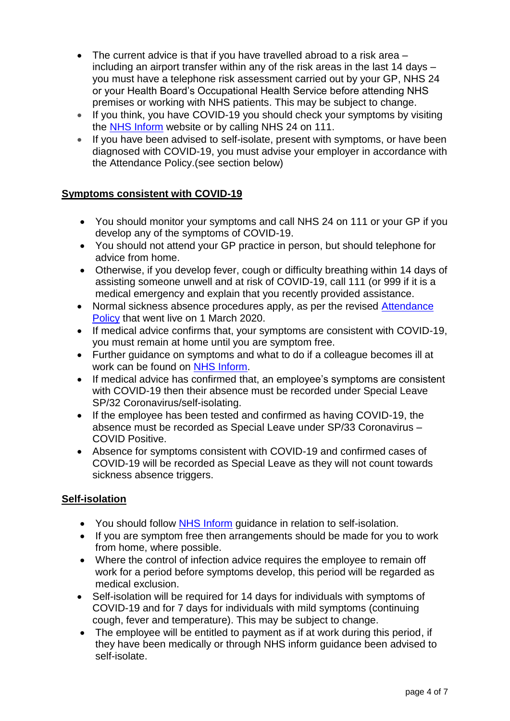- The current advice is that if you have travelled abroad to a risk area including an airport transfer within any of the risk areas in the last 14 days – you must have a telephone risk assessment carried out by your GP, NHS 24 or your Health Board's Occupational Health Service before attending NHS premises or working with NHS patients. This may be subject to change.
- If you think, you have COVID-19 you should check your symptoms by visiting the NHS [Inform](https://www.nhsinform.scot/illnesses-and-conditions/infections-and-poisoning/coronavirus-covid-19) website or by calling NHS 24 on 111.
- If you have been advised to self-isolate, present with symptoms, or have been diagnosed with COVID-19, you must advise your employer in accordance with the Attendance Policy.(see section below)

### **Symptoms consistent with COVID-19**

- You should monitor your symptoms and call NHS 24 on 111 or your GP if you develop any of the symptoms of COVID-19.
- You should not attend your GP practice in person, but should telephone for advice from home.
- Otherwise, if you develop fever, cough or difficulty breathing within 14 days of assisting someone unwell and at risk of COVID-19, call 111 (or 999 if it is a medical emergency and explain that you recently provided assistance.
- Normal sickness absence procedures apply, as per the revised Attendance [Policy](https://workforce.nhs.scot/policies/attendance-policy-overview/) that went live on 1 March 2020.
- If medical advice confirms that, your symptoms are consistent with COVID-19, you must remain at home until you are symptom free.
- Further guidance on symptoms and what to do if a colleague becomes ill at work can be found on [NHS Inform.](https://www.nhsinform.scot/illnesses-and-conditions/infections-and-poisoning/coronavirus-covid-19)
- If medical advice has confirmed that, an employee's symptoms are consistent with COVID-19 then their absence must be recorded under Special Leave SP/32 Coronavirus/self-isolating.
- If the employee has been tested and confirmed as having COVID-19, the absence must be recorded as Special Leave under SP/33 Coronavirus – COVID Positive.
- Absence for symptoms consistent with COVID-19 and confirmed cases of COVID-19 will be recorded as Special Leave as they will not count towards sickness absence triggers.

#### **Self-isolation**

- You should follow NHS [Inform](https://www.nhsinform.scot/illnesses-and-conditions/infections-and-poisoning/coronavirus-covid-19) guidance in relation to self-isolation.
- If you are symptom free then arrangements should be made for you to work from home, where possible.
- Where the control of infection advice requires the employee to remain off work for a period before symptoms develop, this period will be regarded as medical exclusion.
- Self-isolation will be required for 14 days for individuals with symptoms of COVID-19 and for 7 days for individuals with mild symptoms (continuing cough, fever and temperature). This may be subject to change.
- The employee will be entitled to payment as if at work during this period, if they have been medically or through NHS inform guidance been advised to self-isolate.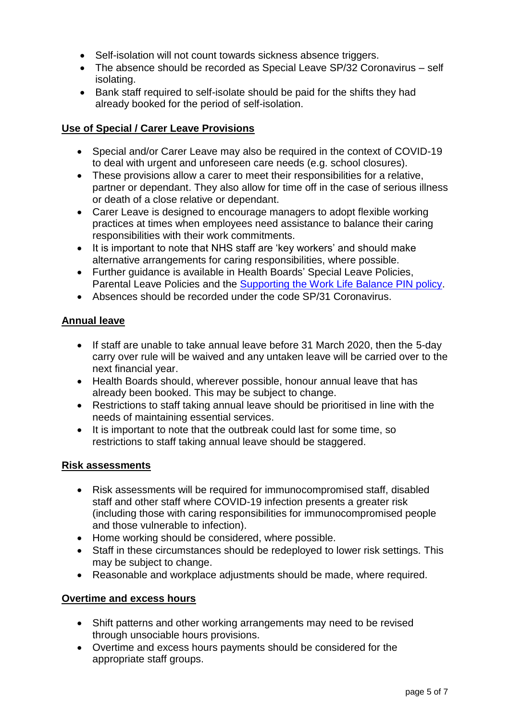- Self-isolation will not count towards sickness absence triggers.
- The absence should be recorded as Special Leave SP/32 Coronavirus self isolating.
- Bank staff required to self-isolate should be paid for the shifts they had already booked for the period of self-isolation.

#### **Use of Special / Carer Leave Provisions**

- Special and/or Carer Leave may also be required in the context of COVID-19 to deal with urgent and unforeseen care needs (e.g. school closures).
- These provisions allow a carer to meet their responsibilities for a relative, partner or dependant. They also allow for time off in the case of serious illness or death of a close relative or dependant.
- Carer Leave is designed to encourage managers to adopt flexible working practices at times when employees need assistance to balance their caring responsibilities with their work commitments.
- It is important to note that NHS staff are 'key workers' and should make alternative arrangements for caring responsibilities, where possible.
- Further guidance is available in Health Boards' Special Leave Policies, Parental Leave Policies and the [Supporting the Work Life Balance PIN policy.](https://www.staffgovernance.scot.nhs.uk/media/1410/supporting-the-work-life-balance-pin-policy.pdf)
- Absences should be recorded under the code SP/31 Coronavirus.

#### **Annual leave**

- If staff are unable to take annual leave before 31 March 2020, then the 5-day carry over rule will be waived and any untaken leave will be carried over to the next financial year.
- Health Boards should, wherever possible, honour annual leave that has already been booked. This may be subject to change.
- Restrictions to staff taking annual leave should be prioritised in line with the needs of maintaining essential services.
- It is important to note that the outbreak could last for some time, so restrictions to staff taking annual leave should be staggered.

#### **Risk assessments**

- Risk assessments will be required for immunocompromised staff, disabled staff and other staff where COVID-19 infection presents a greater risk (including those with caring responsibilities for immunocompromised people and those vulnerable to infection).
- Home working should be considered, where possible.
- Staff in these circumstances should be redeployed to lower risk settings. This may be subject to change.
- Reasonable and workplace adjustments should be made, where required.

#### **Overtime and excess hours**

- Shift patterns and other working arrangements may need to be revised through unsociable hours provisions.
- Overtime and excess hours payments should be considered for the appropriate staff groups.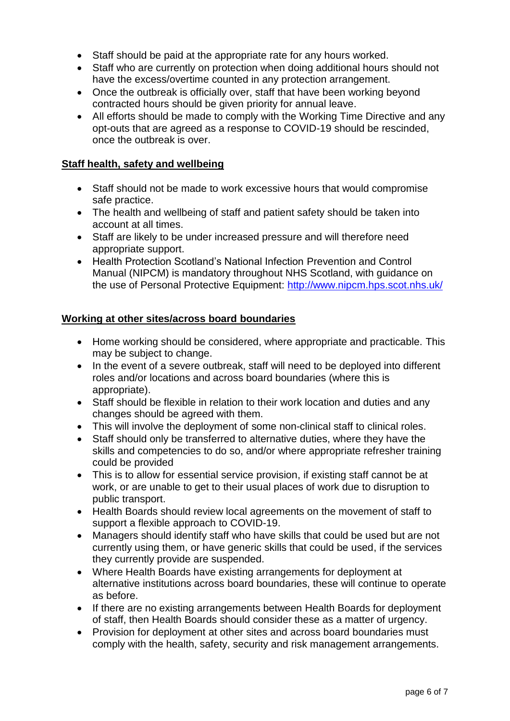- Staff should be paid at the appropriate rate for any hours worked.
- Staff who are currently on protection when doing additional hours should not have the excess/overtime counted in any protection arrangement.
- Once the outbreak is officially over, staff that have been working beyond contracted hours should be given priority for annual leave.
- All efforts should be made to comply with the Working Time Directive and any opt-outs that are agreed as a response to COVID-19 should be rescinded, once the outbreak is over.

#### **Staff health, safety and wellbeing**

- Staff should not be made to work excessive hours that would compromise safe practice.
- The health and wellbeing of staff and patient safety should be taken into account at all times.
- Staff are likely to be under increased pressure and will therefore need appropriate support.
- Health Protection Scotland's National Infection Prevention and Control Manual (NIPCM) is mandatory throughout NHS Scotland, with guidance on the use of Personal Protective Equipment:<http://www.nipcm.hps.scot.nhs.uk/>

#### **Working at other sites/across board boundaries**

- Home working should be considered, where appropriate and practicable. This may be subject to change.
- In the event of a severe outbreak, staff will need to be deployed into different roles and/or locations and across board boundaries (where this is appropriate).
- Staff should be flexible in relation to their work location and duties and any changes should be agreed with them.
- This will involve the deployment of some non-clinical staff to clinical roles.
- Staff should only be transferred to alternative duties, where they have the skills and competencies to do so, and/or where appropriate refresher training could be provided
- This is to allow for essential service provision, if existing staff cannot be at work, or are unable to get to their usual places of work due to disruption to public transport.
- Health Boards should review local agreements on the movement of staff to support a flexible approach to COVID-19.
- Managers should identify staff who have skills that could be used but are not currently using them, or have generic skills that could be used, if the services they currently provide are suspended.
- Where Health Boards have existing arrangements for deployment at alternative institutions across board boundaries, these will continue to operate as before.
- If there are no existing arrangements between Health Boards for deployment of staff, then Health Boards should consider these as a matter of urgency.
- Provision for deployment at other sites and across board boundaries must comply with the health, safety, security and risk management arrangements.